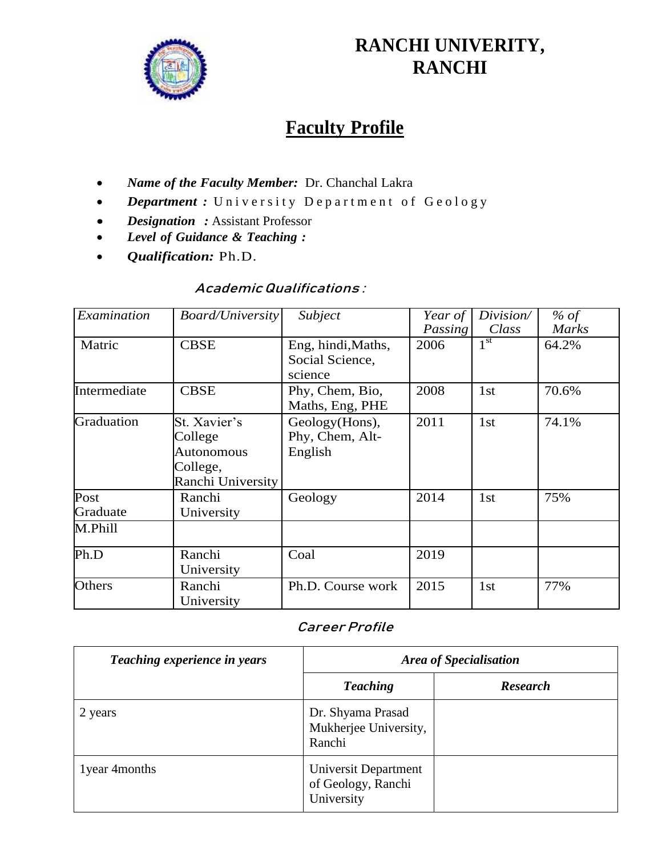

## **RANCHI UNIVERITY, RANCHI**

# **Faculty Profile**

- *Name of the Faculty Member:* Dr. Chanchal Lakra
- **Department**: University Department of Geology
- *Designation :* Assistant Professor
- *Level of Guidance & Teaching :*
- *Qualification:* Ph.D.

## **AcademicQualifications :**

| Examination  | <b>Board/University</b> | Subject            | Year of | Division/       | $%$ of       |
|--------------|-------------------------|--------------------|---------|-----------------|--------------|
|              |                         |                    | Passing | Class           | <b>Marks</b> |
| Matric       | <b>CBSE</b>             | Eng, hindi, Maths, | 2006    | 1 <sup>st</sup> | 64.2%        |
|              |                         | Social Science,    |         |                 |              |
|              |                         | science            |         |                 |              |
| Intermediate | <b>CBSE</b>             | Phy, Chem, Bio,    | 2008    | 1st             | 70.6%        |
|              |                         | Maths, Eng, PHE    |         |                 |              |
| Graduation   | St. Xavier's            | Geology(Hons),     | 2011    | 1st             | 74.1%        |
|              | College                 | Phy, Chem, Alt-    |         |                 |              |
|              | <b>Autonomous</b>       | English            |         |                 |              |
|              | College,                |                    |         |                 |              |
|              | Ranchi University       |                    |         |                 |              |
| Post         | Ranchi                  | Geology            | 2014    | 1st             | 75%          |
| Graduate     | University              |                    |         |                 |              |
| M.Phill      |                         |                    |         |                 |              |
| Ph.D         | Ranchi                  | Coal               | 2019    |                 |              |
|              | University              |                    |         |                 |              |
| Others       | Ranchi                  | Ph.D. Course work  | 2015    | 1st             | 77%          |
|              | University              |                    |         |                 |              |

## **Career Profile**

| Teaching experience in years | <b>Area of Specialisation</b>                            |                 |  |
|------------------------------|----------------------------------------------------------|-----------------|--|
|                              | <b>Teaching</b>                                          | <b>Research</b> |  |
| 2 years                      | Dr. Shyama Prasad<br>Mukherjee University,<br>Ranchi     |                 |  |
| 1 year 4 months              | Universit Department<br>of Geology, Ranchi<br>University |                 |  |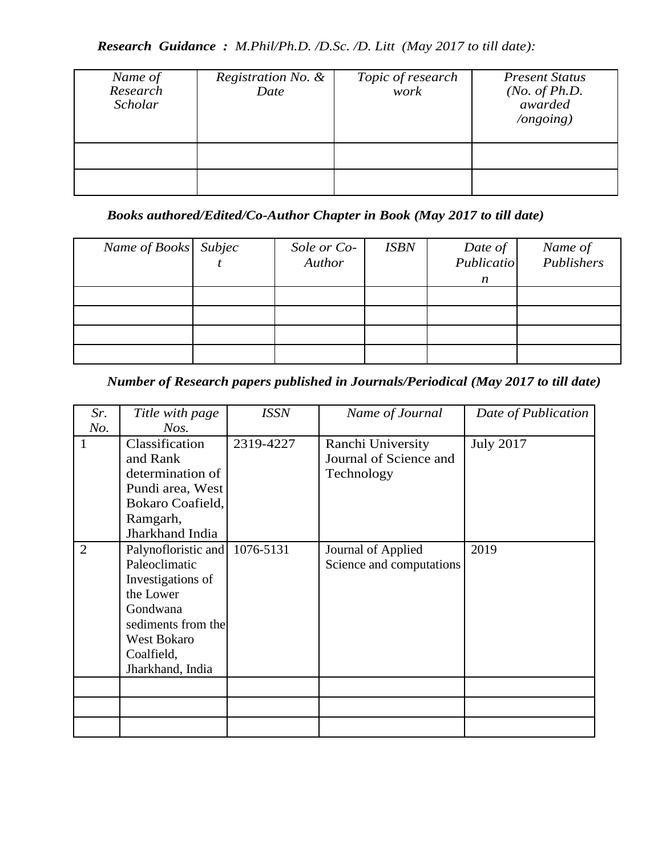*Research Guidance : M.Phil/Ph.D. /D.Sc. /D. Litt (May 2017 to till date):*

| Name of<br>Research<br>Scholar | Registration No. &<br>Date | Topic of research<br>work | <b>Present Status</b><br>( <i>No. of Ph.D.</i><br>awarded<br>$\log$ ongoing) |
|--------------------------------|----------------------------|---------------------------|------------------------------------------------------------------------------|
|                                |                            |                           |                                                                              |
|                                |                            |                           |                                                                              |

*Books authored/Edited/Co-Author Chapter in Book (May 2017 to till date)*

| Name of Books Subjec | Sole or Co-<br>Author | <b>ISBN</b> | Date of<br>Publicatio<br>$\boldsymbol{n}$ | Name of<br>Publishers |
|----------------------|-----------------------|-------------|-------------------------------------------|-----------------------|
|                      |                       |             |                                           |                       |
|                      |                       |             |                                           |                       |
|                      |                       |             |                                           |                       |

*Number of Research papers published in Journals/Periodical (May 2017 to till date)*

| Sr.            | Title with page     | <b>ISSN</b> | Name of Journal          | Date of Publication |
|----------------|---------------------|-------------|--------------------------|---------------------|
| No.            | Nos.                |             |                          |                     |
|                | Classification      | 2319-4227   | Ranchi University        | <b>July 2017</b>    |
|                | and Rank            |             | Journal of Science and   |                     |
|                | determination of    |             | Technology               |                     |
|                | Pundi area, West    |             |                          |                     |
|                | Bokaro Coafield,    |             |                          |                     |
|                | Ramgarh,            |             |                          |                     |
|                | Jharkhand India     |             |                          |                     |
| $\overline{2}$ | Palynofloristic and | 1076-5131   | Journal of Applied       | 2019                |
|                | Paleoclimatic       |             | Science and computations |                     |
|                | Investigations of   |             |                          |                     |
|                | the Lower           |             |                          |                     |
|                | Gondwana            |             |                          |                     |
|                | sediments from the  |             |                          |                     |
|                | West Bokaro         |             |                          |                     |
|                | Coalfield,          |             |                          |                     |
|                | Jharkhand, India    |             |                          |                     |
|                |                     |             |                          |                     |
|                |                     |             |                          |                     |
|                |                     |             |                          |                     |